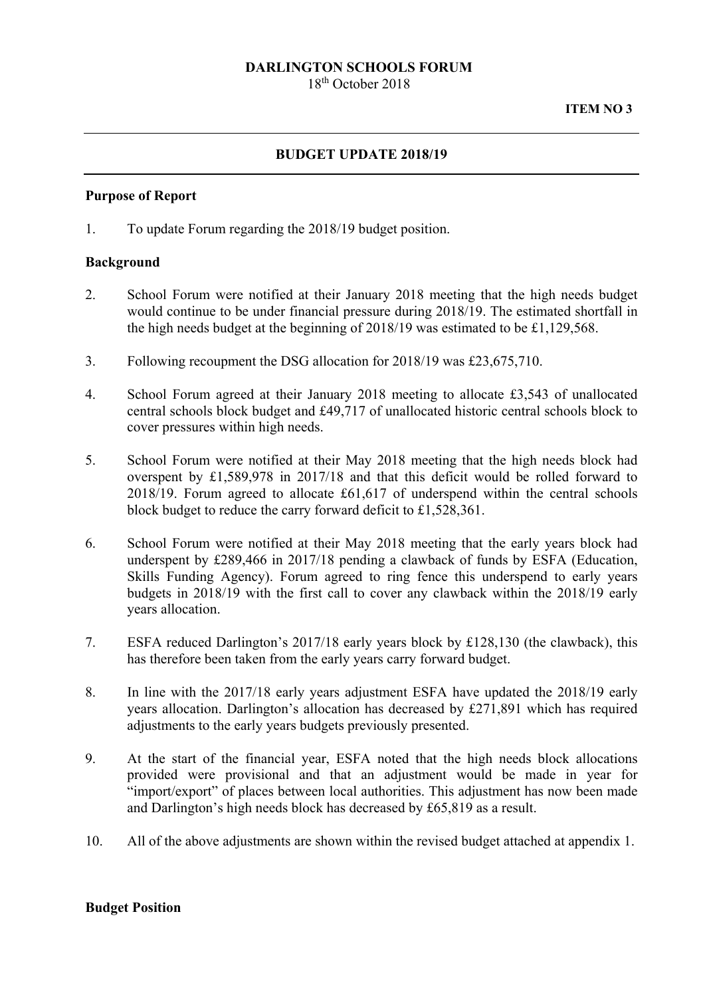# **DARLINGTON SCHOOLS FORUM**

18th October 2018

## **BUDGET UPDATE 2018/19**

### **Purpose of Report**

1. To update Forum regarding the 2018/19 budget position.

### **Background**

- 2. School Forum were notified at their January 2018 meeting that the high needs budget would continue to be under financial pressure during 2018/19. The estimated shortfall in the high needs budget at the beginning of 2018/19 was estimated to be £1,129,568.
- 3. Following recoupment the DSG allocation for 2018/19 was £23,675,710.
- 4. School Forum agreed at their January 2018 meeting to allocate £3,543 of unallocated central schools block budget and £49,717 of unallocated historic central schools block to cover pressures within high needs.
- 5. School Forum were notified at their May 2018 meeting that the high needs block had overspent by £1,589,978 in 2017/18 and that this deficit would be rolled forward to 2018/19. Forum agreed to allocate £61,617 of underspend within the central schools block budget to reduce the carry forward deficit to £1,528,361.
- 6. School Forum were notified at their May 2018 meeting that the early years block had underspent by £289,466 in 2017/18 pending a clawback of funds by ESFA (Education, Skills Funding Agency). Forum agreed to ring fence this underspend to early years budgets in 2018/19 with the first call to cover any clawback within the 2018/19 early years allocation.
- 7. ESFA reduced Darlington's 2017/18 early years block by £128,130 (the clawback), this has therefore been taken from the early years carry forward budget.
- 8. In line with the 2017/18 early years adjustment ESFA have updated the 2018/19 early years allocation. Darlington's allocation has decreased by £271,891 which has required adjustments to the early years budgets previously presented.
- 9. At the start of the financial year, ESFA noted that the high needs block allocations provided were provisional and that an adjustment would be made in year for "import/export" of places between local authorities. This adjustment has now been made and Darlington's high needs block has decreased by £65,819 as a result.
- 10. All of the above adjustments are shown within the revised budget attached at appendix 1.

## **Budget Position**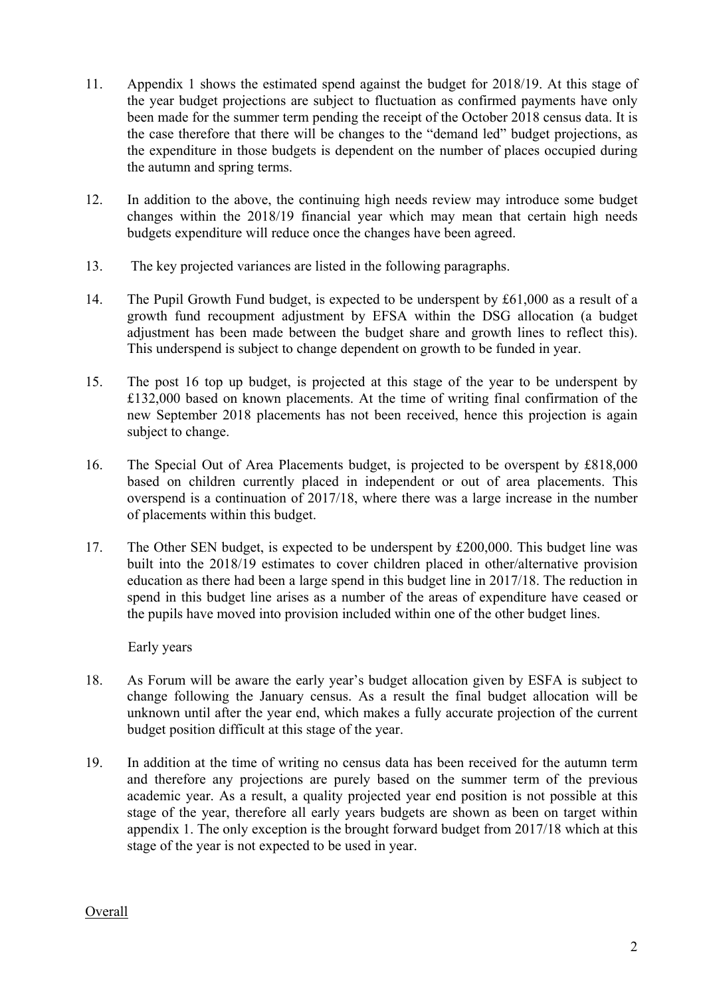- 11. Appendix 1 shows the estimated spend against the budget for 2018/19. At this stage of the year budget projections are subject to fluctuation as confirmed payments have only been made for the summer term pending the receipt of the October 2018 census data. It is the case therefore that there will be changes to the "demand led" budget projections, as the expenditure in those budgets is dependent on the number of places occupied during the autumn and spring terms.
- 12. In addition to the above, the continuing high needs review may introduce some budget changes within the 2018/19 financial year which may mean that certain high needs budgets expenditure will reduce once the changes have been agreed.
- 13. The key projected variances are listed in the following paragraphs.
- 14. The Pupil Growth Fund budget, is expected to be underspent by £61,000 as a result of a growth fund recoupment adjustment by EFSA within the DSG allocation (a budget adjustment has been made between the budget share and growth lines to reflect this). This underspend is subject to change dependent on growth to be funded in year.
- 15. The post 16 top up budget, is projected at this stage of the year to be underspent by £132,000 based on known placements. At the time of writing final confirmation of the new September 2018 placements has not been received, hence this projection is again subject to change.
- 16. The Special Out of Area Placements budget, is projected to be overspent by £818,000 based on children currently placed in independent or out of area placements. This overspend is a continuation of 2017/18, where there was a large increase in the number of placements within this budget.
- 17. The Other SEN budget, is expected to be underspent by £200,000. This budget line was built into the 2018/19 estimates to cover children placed in other/alternative provision education as there had been a large spend in this budget line in 2017/18. The reduction in spend in this budget line arises as a number of the areas of expenditure have ceased or the pupils have moved into provision included within one of the other budget lines.

Early years

- 18. As Forum will be aware the early year's budget allocation given by ESFA is subject to change following the January census. As a result the final budget allocation will be unknown until after the year end, which makes a fully accurate projection of the current budget position difficult at this stage of the year.
- academic year. As a result, a quality projected year end position is not possible at this 19. In addition at the time of writing no census data has been received for the autumn term and therefore any projections are purely based on the summer term of the previous stage of the year, therefore all early years budgets are shown as been on target within appendix 1. The only exception is the brought forward budget from 2017/18 which at this stage of the year is not expected to be used in year.

# Overall